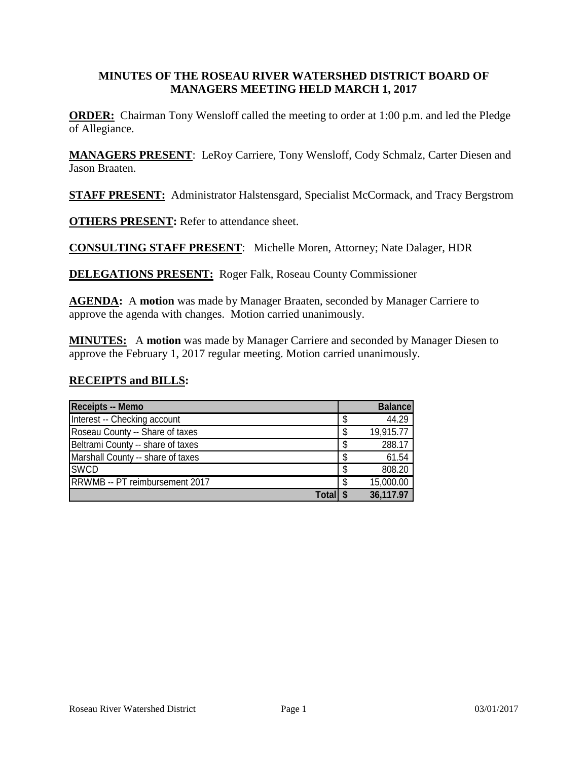#### **MINUTES OF THE ROSEAU RIVER WATERSHED DISTRICT BOARD OF MANAGERS MEETING HELD MARCH 1, 2017**

**ORDER:** Chairman Tony Wensloff called the meeting to order at 1:00 p.m. and led the Pledge of Allegiance.

**MANAGERS PRESENT**: LeRoy Carriere, Tony Wensloff, Cody Schmalz, Carter Diesen and Jason Braaten.

**STAFF PRESENT:** Administrator Halstensgard, Specialist McCormack, and Tracy Bergstrom

**OTHERS PRESENT:** Refer to attendance sheet.

**CONSULTING STAFF PRESENT**: Michelle Moren, Attorney; Nate Dalager, HDR

**DELEGATIONS PRESENT:** Roger Falk, Roseau County Commissioner

**AGENDA:** A **motion** was made by Manager Braaten, seconded by Manager Carriere to approve the agenda with changes. Motion carried unanimously.

**MINUTES:** A **motion** was made by Manager Carriere and seconded by Manager Diesen to approve the February 1, 2017 regular meeting. Motion carried unanimously.

#### **RECEIPTS and BILLS:**

| <b>Receipts -- Memo</b>           |     | <b>Balance</b> |
|-----------------------------------|-----|----------------|
| Interest -- Checking account      | S   | 44.29          |
| Roseau County -- Share of taxes   | S   | 19,915.77      |
| Beltrami County -- share of taxes | S   | 288.17         |
| Marshall County -- share of taxes |     | 61.54          |
| <b>SWCD</b>                       | \$. | 808.20         |
| RRWMB -- PT reimbursement 2017    | S   | 15,000.00      |
| Totall                            |     | 36,117.97      |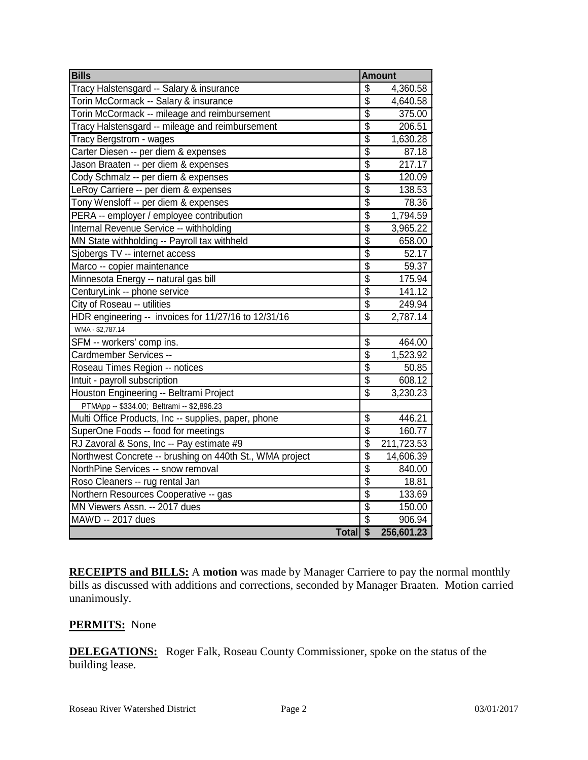| <b>Bills</b>                                             | <b>Amount</b>   |            |  |
|----------------------------------------------------------|-----------------|------------|--|
| Tracy Halstensgard -- Salary & insurance                 | \$              | 4,360.58   |  |
| Torin McCormack -- Salary & insurance                    | $\overline{\$}$ | 4,640.58   |  |
| Torin McCormack -- mileage and reimbursement             | $\overline{\$}$ | 375.00     |  |
| Tracy Halstensgard -- mileage and reimbursement          | $\overline{\$}$ | 206.51     |  |
| Tracy Bergstrom - wages                                  | $\overline{\$}$ | 1,630.28   |  |
| Carter Diesen -- per diem & expenses                     | $\overline{\$}$ | 87.18      |  |
| Jason Braaten -- per diem & expenses                     | $\overline{\$}$ | 217.17     |  |
| Cody Schmalz -- per diem & expenses                      | $\overline{\$}$ | 120.09     |  |
| LeRoy Carriere -- per diem & expenses                    | $\overline{\$}$ | 138.53     |  |
| Tony Wensloff -- per diem & expenses                     | $\overline{\$}$ | 78.36      |  |
| PERA -- employer / employee contribution                 | $\overline{\$}$ | 1,794.59   |  |
| Internal Revenue Service -- withholding                  | $\overline{\$}$ | 3,965.22   |  |
| MN State withholding -- Payroll tax withheld             | $\overline{\$}$ | 658.00     |  |
| Sjobergs TV -- internet access                           | $\overline{\$}$ | 52.17      |  |
| Marco -- copier maintenance                              | $\overline{\$}$ | 59.37      |  |
| Minnesota Energy -- natural gas bill                     | $\overline{\$}$ | 175.94     |  |
| CenturyLink -- phone service                             | $\overline{\$}$ | 141.12     |  |
| City of Roseau -- utilities                              | $\overline{\$}$ | 249.94     |  |
| HDR engineering -- invoices for 11/27/16 to 12/31/16     | $\overline{\$}$ | 2,787.14   |  |
| WMA - \$2,787.14                                         |                 |            |  |
| SFM -- workers' comp ins.                                | \$              | 464.00     |  |
| Cardmember Services --                                   | $\overline{\$}$ | 1,523.92   |  |
| Roseau Times Region -- notices                           | $\overline{\$}$ | 50.85      |  |
| Intuit - payroll subscription                            | $\overline{\$}$ | 608.12     |  |
| Houston Engineering -- Beltrami Project                  | \$              | 3,230.23   |  |
| PTMApp -- \$334.00; Beltrami -- \$2,896.23               |                 |            |  |
| Multi Office Products, Inc -- supplies, paper, phone     | $\overline{\$}$ | 446.21     |  |
| SuperOne Foods -- food for meetings                      | $\overline{\$}$ | 160.77     |  |
| RJ Zavoral & Sons, Inc -- Pay estimate #9                | \$              | 211,723.53 |  |
| Northwest Concrete -- brushing on 440th St., WMA project | \$              | 14,606.39  |  |
| NorthPine Services -- snow removal                       | $\overline{\$}$ | 840.00     |  |
| Roso Cleaners -- rug rental Jan                          | $\overline{\$}$ | 18.81      |  |
| Northern Resources Cooperative -- gas                    | $\overline{\$}$ | 133.69     |  |
| MN Viewers Assn. -- 2017 dues                            | $\overline{\$}$ | 150.00     |  |
| MAWD -- 2017 dues                                        | $\overline{\$}$ | 906.94     |  |
| Total <sub>s</sub>                                       |                 | 256,601.23 |  |

**RECEIPTS and BILLS:** A **motion** was made by Manager Carriere to pay the normal monthly bills as discussed with additions and corrections, seconded by Manager Braaten. Motion carried unanimously.

### **PERMITS:** None

**DELEGATIONS:** Roger Falk, Roseau County Commissioner, spoke on the status of the building lease.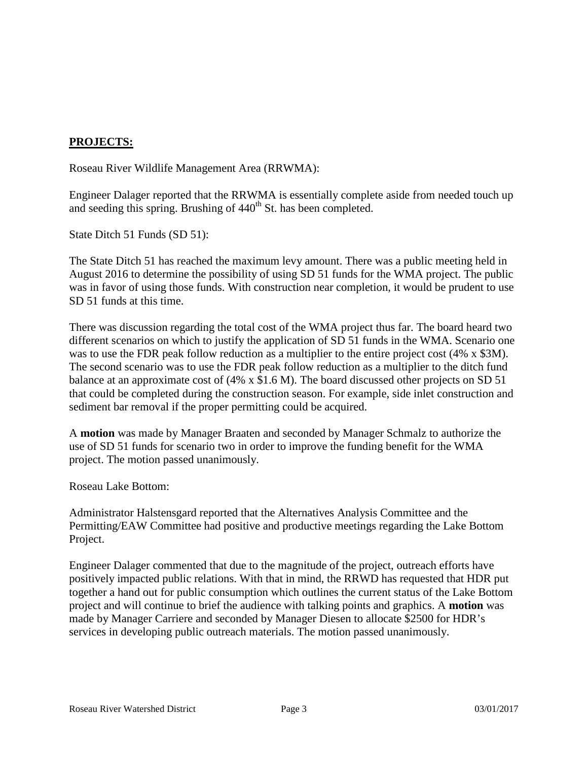## **PROJECTS:**

Roseau River Wildlife Management Area (RRWMA):

Engineer Dalager reported that the RRWMA is essentially complete aside from needed touch up and seeding this spring. Brushing of  $440<sup>th</sup>$  St. has been completed.

State Ditch 51 Funds (SD 51):

The State Ditch 51 has reached the maximum levy amount. There was a public meeting held in August 2016 to determine the possibility of using SD 51 funds for the WMA project. The public was in favor of using those funds. With construction near completion, it would be prudent to use SD 51 funds at this time.

There was discussion regarding the total cost of the WMA project thus far. The board heard two different scenarios on which to justify the application of SD 51 funds in the WMA. Scenario one was to use the FDR peak follow reduction as a multiplier to the entire project cost (4% x \$3M). The second scenario was to use the FDR peak follow reduction as a multiplier to the ditch fund balance at an approximate cost of (4% x \$1.6 M). The board discussed other projects on SD 51 that could be completed during the construction season. For example, side inlet construction and sediment bar removal if the proper permitting could be acquired.

A **motion** was made by Manager Braaten and seconded by Manager Schmalz to authorize the use of SD 51 funds for scenario two in order to improve the funding benefit for the WMA project. The motion passed unanimously.

Roseau Lake Bottom:

Administrator Halstensgard reported that the Alternatives Analysis Committee and the Permitting/EAW Committee had positive and productive meetings regarding the Lake Bottom Project.

Engineer Dalager commented that due to the magnitude of the project, outreach efforts have positively impacted public relations. With that in mind, the RRWD has requested that HDR put together a hand out for public consumption which outlines the current status of the Lake Bottom project and will continue to brief the audience with talking points and graphics. A **motion** was made by Manager Carriere and seconded by Manager Diesen to allocate \$2500 for HDR's services in developing public outreach materials. The motion passed unanimously.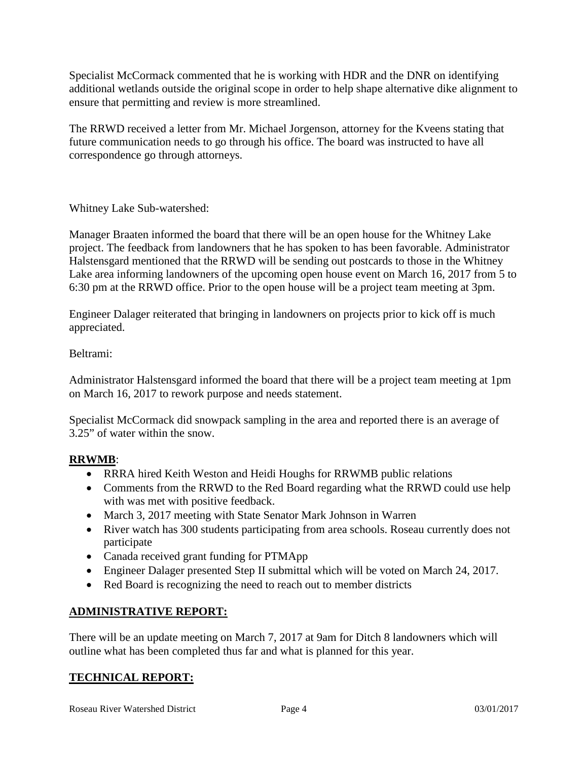Specialist McCormack commented that he is working with HDR and the DNR on identifying additional wetlands outside the original scope in order to help shape alternative dike alignment to ensure that permitting and review is more streamlined.

The RRWD received a letter from Mr. Michael Jorgenson, attorney for the Kveens stating that future communication needs to go through his office. The board was instructed to have all correspondence go through attorneys.

Whitney Lake Sub-watershed:

Manager Braaten informed the board that there will be an open house for the Whitney Lake project. The feedback from landowners that he has spoken to has been favorable. Administrator Halstensgard mentioned that the RRWD will be sending out postcards to those in the Whitney Lake area informing landowners of the upcoming open house event on March 16, 2017 from 5 to 6:30 pm at the RRWD office. Prior to the open house will be a project team meeting at 3pm.

Engineer Dalager reiterated that bringing in landowners on projects prior to kick off is much appreciated.

### Beltrami:

Administrator Halstensgard informed the board that there will be a project team meeting at 1pm on March 16, 2017 to rework purpose and needs statement.

Specialist McCormack did snowpack sampling in the area and reported there is an average of 3.25" of water within the snow.

# **RRWMB**:

- RRRA hired Keith Weston and Heidi Houghs for RRWMB public relations
- Comments from the RRWD to the Red Board regarding what the RRWD could use help with was met with positive feedback.
- March 3, 2017 meeting with State Senator Mark Johnson in Warren
- River watch has 300 students participating from area schools. Roseau currently does not participate
- Canada received grant funding for PTMApp
- Engineer Dalager presented Step II submittal which will be voted on March 24, 2017.
- Red Board is recognizing the need to reach out to member districts

# **ADMINISTRATIVE REPORT:**

There will be an update meeting on March 7, 2017 at 9am for Ditch 8 landowners which will outline what has been completed thus far and what is planned for this year.

### **TECHNICAL REPORT:**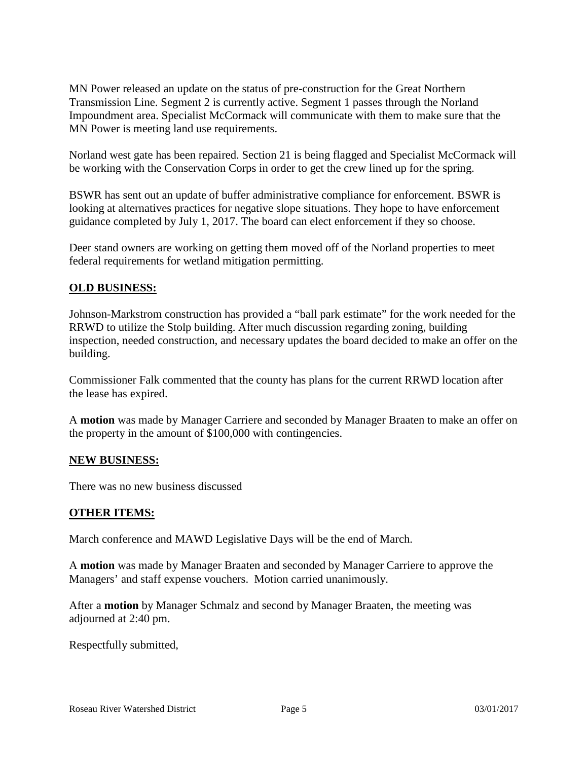MN Power released an update on the status of pre-construction for the Great Northern Transmission Line. Segment 2 is currently active. Segment 1 passes through the Norland Impoundment area. Specialist McCormack will communicate with them to make sure that the MN Power is meeting land use requirements.

Norland west gate has been repaired. Section 21 is being flagged and Specialist McCormack will be working with the Conservation Corps in order to get the crew lined up for the spring.

BSWR has sent out an update of buffer administrative compliance for enforcement. BSWR is looking at alternatives practices for negative slope situations. They hope to have enforcement guidance completed by July 1, 2017. The board can elect enforcement if they so choose.

Deer stand owners are working on getting them moved off of the Norland properties to meet federal requirements for wetland mitigation permitting.

### **OLD BUSINESS:**

Johnson-Markstrom construction has provided a "ball park estimate" for the work needed for the RRWD to utilize the Stolp building. After much discussion regarding zoning, building inspection, needed construction, and necessary updates the board decided to make an offer on the building.

Commissioner Falk commented that the county has plans for the current RRWD location after the lease has expired.

A **motion** was made by Manager Carriere and seconded by Manager Braaten to make an offer on the property in the amount of \$100,000 with contingencies.

### **NEW BUSINESS:**

There was no new business discussed

#### **OTHER ITEMS:**

March conference and MAWD Legislative Days will be the end of March.

A **motion** was made by Manager Braaten and seconded by Manager Carriere to approve the Managers' and staff expense vouchers. Motion carried unanimously.

After a **motion** by Manager Schmalz and second by Manager Braaten, the meeting was adjourned at 2:40 pm.

Respectfully submitted,